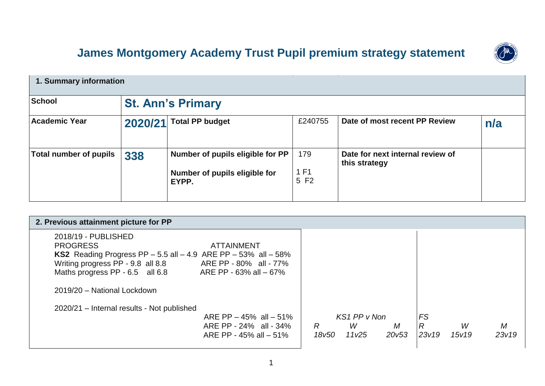## **James Montgomery Academy Trust Pupil premium strategy statement**

| 1. Summary information        |                          |                                                                            |                     |                                                   |     |  |
|-------------------------------|--------------------------|----------------------------------------------------------------------------|---------------------|---------------------------------------------------|-----|--|
| <b>School</b>                 | <b>St. Ann's Primary</b> |                                                                            |                     |                                                   |     |  |
| <b>Academic Year</b>          | 2020/21                  | <b>Total PP budget</b>                                                     | £240755             | Date of most recent PP Review                     | n/a |  |
| <b>Total number of pupils</b> | 338                      | Number of pupils eligible for PP<br>Number of pupils eligible for<br>EYPP. | 179<br>1 F1<br>5 F2 | Date for next internal review of<br>this strategy |     |  |

| 2. Previous attainment picture for PP                                       |                                                                     |       |
|-----------------------------------------------------------------------------|---------------------------------------------------------------------|-------|
| 2018/19 - PUBLISHED                                                         |                                                                     |       |
| <b>PROGRESS</b><br><b>ATTAINMENT</b>                                        |                                                                     |       |
| <b>KS2</b> Reading Progress PP $-5.5$ all $-4.9$ ARE PP $-53\%$ all $-58\%$ |                                                                     |       |
| Writing progress PP - 9.8 all 8.8<br>ARE PP - 80% all - 77%                 |                                                                     |       |
| Maths progress PP - 6.5 all 6.8<br>ARE PP - 63% all - 67%                   |                                                                     |       |
| 2019/20 - National Lockdown                                                 |                                                                     |       |
| 2020/21 – Internal results - Not published                                  |                                                                     |       |
| ARE PP $-45\%$ all $-51\%$                                                  | KS1 PP v Non<br>FS                                                  |       |
| ARE PP - 24% all - 34%                                                      | $\overline{R}$<br>W<br>$R_{\parallel}$<br>W<br>M                    | M     |
| ARE PP - 45% all $-51%$                                                     | 23v19<br>11 <sub>V</sub> 25<br>20 <sub>V</sub> 53<br>15v19<br>18v50 | 23v19 |
|                                                                             |                                                                     |       |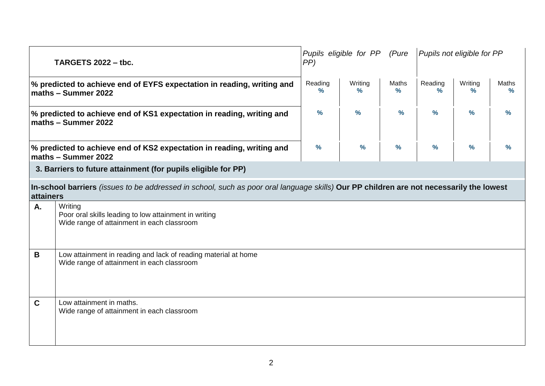| <b>TARGETS 2022 - tbc.</b>                                                                       |                                                                                                                                         | Pupils eligible for PP<br>(Pure<br>PP |               | Pupils not eligible for PP |               |               |                        |
|--------------------------------------------------------------------------------------------------|-----------------------------------------------------------------------------------------------------------------------------------------|---------------------------------------|---------------|----------------------------|---------------|---------------|------------------------|
| $\%$ predicted to achieve end of EYFS expectation in reading, writing and<br>maths - Summer 2022 |                                                                                                                                         |                                       | Writing<br>%  | Maths<br>$\frac{9}{6}$     | Reading<br>℅  | Writing<br>%  | Maths<br>$\frac{9}{6}$ |
| % predicted to achieve end of KS1 expectation in reading, writing and<br>maths - Summer 2022     |                                                                                                                                         |                                       | $\frac{9}{6}$ | $\frac{9}{6}$              | $\frac{9}{6}$ | $\frac{9}{6}$ | $\frac{9}{6}$          |
|                                                                                                  | % predicted to achieve end of KS2 expectation in reading, writing and<br>maths - Summer 2022                                            | $\frac{9}{6}$                         | $\frac{9}{6}$ | $\frac{9}{6}$              | $\frac{9}{6}$ | $\frac{9}{6}$ | $\frac{9}{6}$          |
|                                                                                                  | 3. Barriers to future attainment (for pupils eligible for PP)                                                                           |                                       |               |                            |               |               |                        |
| <b>attainers</b>                                                                                 | In-school barriers (issues to be addressed in school, such as poor oral language skills) Our PP children are not necessarily the lowest |                                       |               |                            |               |               |                        |
| A.                                                                                               | Writing<br>Poor oral skills leading to low attainment in writing<br>Wide range of attainment in each classroom                          |                                       |               |                            |               |               |                        |
| B                                                                                                | Low attainment in reading and lack of reading material at home<br>Wide range of attainment in each classroom                            |                                       |               |                            |               |               |                        |
| $\mathbf C$                                                                                      | Low attainment in maths.<br>Wide range of attainment in each classroom                                                                  |                                       |               |                            |               |               |                        |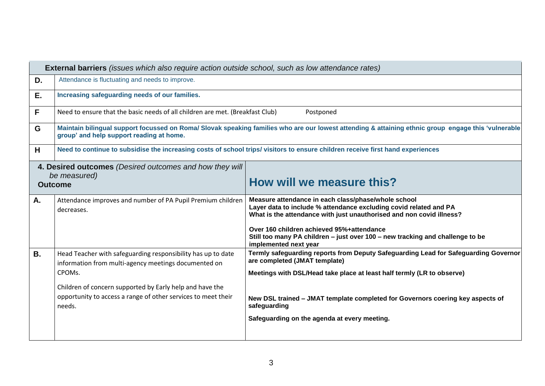|           | <b>External barriers</b> (issues which also require action outside school, such as low attendance rates)                                                                                                                                                              |                                                                                                                                                                                                                                                                                                                                                         |  |  |  |  |  |
|-----------|-----------------------------------------------------------------------------------------------------------------------------------------------------------------------------------------------------------------------------------------------------------------------|---------------------------------------------------------------------------------------------------------------------------------------------------------------------------------------------------------------------------------------------------------------------------------------------------------------------------------------------------------|--|--|--|--|--|
| D.        | Attendance is fluctuating and needs to improve.                                                                                                                                                                                                                       |                                                                                                                                                                                                                                                                                                                                                         |  |  |  |  |  |
| Ε.        | Increasing safeguarding needs of our families.                                                                                                                                                                                                                        |                                                                                                                                                                                                                                                                                                                                                         |  |  |  |  |  |
| F         | Need to ensure that the basic needs of all children are met. (Breakfast Club)                                                                                                                                                                                         | Postponed                                                                                                                                                                                                                                                                                                                                               |  |  |  |  |  |
| G         | group' and help support reading at home.                                                                                                                                                                                                                              | Maintain bilingual support focussed on Roma/ Slovak speaking families who are our lowest attending & attaining ethnic group engage this 'vulnerable                                                                                                                                                                                                     |  |  |  |  |  |
| H         |                                                                                                                                                                                                                                                                       | Need to continue to subsidise the increasing costs of school trips/visitors to ensure children receive first hand experiences                                                                                                                                                                                                                           |  |  |  |  |  |
|           | 4. Desired outcomes (Desired outcomes and how they will<br>be measured)<br><b>Outcome</b>                                                                                                                                                                             | How will we measure this?                                                                                                                                                                                                                                                                                                                               |  |  |  |  |  |
| A.        | Attendance improves and number of PA Pupil Premium children<br>decreases.                                                                                                                                                                                             | Measure attendance in each class/phase/whole school<br>Layer data to include % attendance excluding covid related and PA<br>What is the attendance with just unauthorised and non covid illness?<br>Over 160 children achieved 95%+attendance<br>Still too many PA children - just over 100 - new tracking and challenge to be<br>implemented next year |  |  |  |  |  |
| <b>B.</b> | Head Teacher with safeguarding responsibility has up to date<br>information from multi-agency meetings documented on<br>CPOMs.<br>Children of concern supported by Early help and have the<br>opportunity to access a range of other services to meet their<br>needs. | Termly safeguarding reports from Deputy Safeguarding Lead for Safeguarding Governor<br>are completed (JMAT template)<br>Meetings with DSL/Head take place at least half termly (LR to observe)<br>New DSL trained - JMAT template completed for Governors coering key aspects of<br>safeguarding<br>Safeguarding on the agenda at every meeting.        |  |  |  |  |  |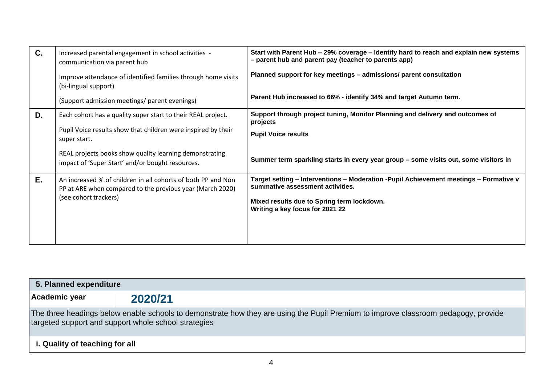| C. | Increased parental engagement in school activities -<br>communication via parent hub                                      | Start with Parent Hub - 29% coverage - Identify hard to reach and explain new systems<br>- parent hub and parent pay (teacher to parents app) |
|----|---------------------------------------------------------------------------------------------------------------------------|-----------------------------------------------------------------------------------------------------------------------------------------------|
|    | Improve attendance of identified families through home visits<br>(bi-lingual support)                                     | Planned support for key meetings - admissions/ parent consultation                                                                            |
|    | (Support admission meetings/ parent evenings)                                                                             | Parent Hub increased to 66% - identify 34% and target Autumn term.                                                                            |
| D. | Each cohort has a quality super start to their REAL project.                                                              | Support through project tuning, Monitor Planning and delivery and outcomes of<br>projects                                                     |
|    | Pupil Voice results show that children were inspired by their<br>super start.                                             | <b>Pupil Voice results</b>                                                                                                                    |
|    | REAL projects books show quality learning demonstrating<br>impact of 'Super Start' and/or bought resources.               | Summer term sparkling starts in every year group - some visits out, some visitors in                                                          |
| E. | An increased % of children in all cohorts of both PP and Non<br>PP at ARE when compared to the previous year (March 2020) | Target setting - Interventions - Moderation - Pupil Achievement meetings - Formative v<br>summative assessment activities.                    |
|    | (see cohort trackers)                                                                                                     | Mixed results due to Spring term lockdown.<br>Writing a key focus for 2021 22                                                                 |
|    |                                                                                                                           |                                                                                                                                               |

| 5. Planned expenditure                                                                                                                                                                     |         |  |  |  |  |  |
|--------------------------------------------------------------------------------------------------------------------------------------------------------------------------------------------|---------|--|--|--|--|--|
| Academic year                                                                                                                                                                              | 2020/21 |  |  |  |  |  |
| The three headings below enable schools to demonstrate how they are using the Pupil Premium to improve classroom pedagogy, provide<br>targeted support and support whole school strategies |         |  |  |  |  |  |
| i. Quality of teaching for all                                                                                                                                                             |         |  |  |  |  |  |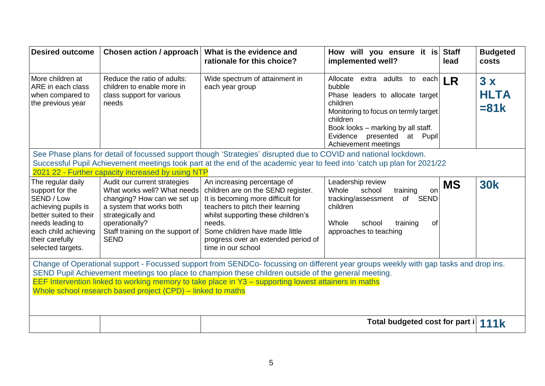| <b>Desired outcome</b>                                                                                                                                                                                                                                                                                                                                                                                              | Chosen action / approach                                                                                                                                                                                         | What is the evidence and<br>rationale for this choice?                                                                                                                                                                                                                                    | How will you ensure it is<br>implemented well?                                                                                                                                                                                           | <b>Staff</b><br>lead | <b>Budgeted</b><br>costs     |
|---------------------------------------------------------------------------------------------------------------------------------------------------------------------------------------------------------------------------------------------------------------------------------------------------------------------------------------------------------------------------------------------------------------------|------------------------------------------------------------------------------------------------------------------------------------------------------------------------------------------------------------------|-------------------------------------------------------------------------------------------------------------------------------------------------------------------------------------------------------------------------------------------------------------------------------------------|------------------------------------------------------------------------------------------------------------------------------------------------------------------------------------------------------------------------------------------|----------------------|------------------------------|
| More children at<br>ARE in each class<br>when compared to<br>the previous year                                                                                                                                                                                                                                                                                                                                      | Reduce the ratio of adults:<br>children to enable more in<br>class support for various<br>needs                                                                                                                  | Wide spectrum of attainment in<br>each year group                                                                                                                                                                                                                                         | Allocate extra adults to each<br>bubble<br>Phase leaders to allocate target<br>children<br>Monitoring to focus on termly target<br>children<br>Book looks - marking by all staff.<br>Evidence presented at Pupil<br>Achievement meetings | <b>LR</b>            | 3x<br><b>HLTA</b><br>$= 81k$ |
| See Phase plans for detail of focussed support though 'Strategies' disrupted due to COVID and national lockdown.<br>Successful Pupil Achievement meetings took part at the end of the academic year to feed into 'catch up plan for 2021/22<br>2021 22 - Further capacity increased by using NTP                                                                                                                    |                                                                                                                                                                                                                  |                                                                                                                                                                                                                                                                                           |                                                                                                                                                                                                                                          |                      |                              |
| The regular daily<br>support for the<br>SEND / Low<br>achieving pupils is<br>better suited to their<br>needs leading to<br>each child achieving<br>their carefully<br>selected targets.                                                                                                                                                                                                                             | Audit our current strategies<br>What works well? What needs<br>changing? How can we set up<br>a system that works both<br>strategically and<br>operationally?<br>Staff training on the support of<br><b>SEND</b> | An increasing percentage of<br>children are on the SEND register.<br>It is becoming more difficult for<br>teachers to pitch their learning<br>whilst supporting these children's<br>needs.<br>Some children have made little<br>progress over an extended period of<br>time in our school | Leadership review<br>Whole<br>school<br>training<br>on<br>tracking/assessment<br>of<br><b>SEND</b><br>children<br>Whole<br>school<br>training<br>0f<br>approaches to teaching                                                            | <b>MS</b>            | <b>30k</b>                   |
| Change of Operational support - Focussed support from SENDCo- focussing on different year groups weekly with gap tasks and drop ins.<br>SEND Pupil Achievement meetings too place to champion these children outside of the general meeting.<br>EEF Intervention linked to working memory to take place in Y3 - supporting lowest attainers in maths<br>Whole school research based project (CPD) – linked to maths |                                                                                                                                                                                                                  |                                                                                                                                                                                                                                                                                           |                                                                                                                                                                                                                                          |                      |                              |
| Total budgeted cost for part i                                                                                                                                                                                                                                                                                                                                                                                      |                                                                                                                                                                                                                  |                                                                                                                                                                                                                                                                                           |                                                                                                                                                                                                                                          |                      | <b>111k</b>                  |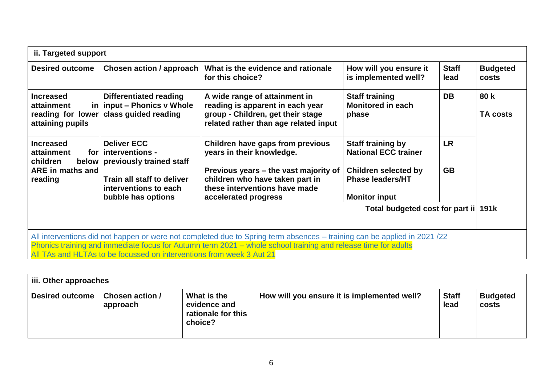| ii. Targeted support                                                                                                                                                                                                                                                                                             |                                                                                                                          |                                                                                                                                                                            |                                                                                                                   |                        |                          |  |  |
|------------------------------------------------------------------------------------------------------------------------------------------------------------------------------------------------------------------------------------------------------------------------------------------------------------------|--------------------------------------------------------------------------------------------------------------------------|----------------------------------------------------------------------------------------------------------------------------------------------------------------------------|-------------------------------------------------------------------------------------------------------------------|------------------------|--------------------------|--|--|
| <b>Desired outcome</b>                                                                                                                                                                                                                                                                                           | <b>Chosen action / approach</b>                                                                                          | What is the evidence and rationale<br>for this choice?                                                                                                                     | How will you ensure it<br>is implemented well?                                                                    | <b>Staff</b><br>lead   | <b>Budgeted</b><br>costs |  |  |
| <b>Increased</b><br>attainment<br>reading for lower<br>attaining pupils                                                                                                                                                                                                                                          | Differentiated reading<br>$\left  \right $ input – Phonics v Whole<br>class guided reading                               | A wide range of attainment in<br>reading is apparent in each year<br>group - Children, get their stage<br>related rather than age related input                            | <b>Staff training</b><br><b>Monitored in each</b><br>phase                                                        | <b>DB</b>              | 80 k<br><b>TA costs</b>  |  |  |
| <b>Increased</b><br>attainment<br>forl<br>children<br>below<br>ARE in maths and<br>reading                                                                                                                                                                                                                       | <b>Deliver ECC</b><br>interventions -<br>previously trained staff<br>Train all staff to deliver<br>interventions to each | Children have gaps from previous<br>years in their knowledge.<br>Previous years – the vast majority of<br>children who have taken part in<br>these interventions have made | <b>Staff training by</b><br><b>National ECC trainer</b><br><b>Children selected by</b><br><b>Phase leaders/HT</b> | <b>LR</b><br><b>GB</b> |                          |  |  |
|                                                                                                                                                                                                                                                                                                                  | bubble has options                                                                                                       | accelerated progress                                                                                                                                                       | <b>Monitor input</b>                                                                                              |                        |                          |  |  |
|                                                                                                                                                                                                                                                                                                                  |                                                                                                                          |                                                                                                                                                                            | Total budgeted cost for part ii 191k                                                                              |                        |                          |  |  |
| All interventions did not happen or were not completed due to Spring term absences – training can be applied in 2021/22<br>Phonics training and immediate focus for Autumn term 2021 - whole school training and release time for adults<br>All TAs and HLTAs to be focussed on interventions from week 3 Aut 21 |                                                                                                                          |                                                                                                                                                                            |                                                                                                                   |                        |                          |  |  |

| $\parallel$ iii. Other approaches |                                    |                                                              |                                             |                      |                          |  |
|-----------------------------------|------------------------------------|--------------------------------------------------------------|---------------------------------------------|----------------------|--------------------------|--|
| <b>Desired outcome</b>            | <b>Chosen action /</b><br>approach | What is the<br>evidence and<br>rationale for this<br>choice? | How will you ensure it is implemented well? | <b>Staff</b><br>lead | <b>Budgeted</b><br>costs |  |